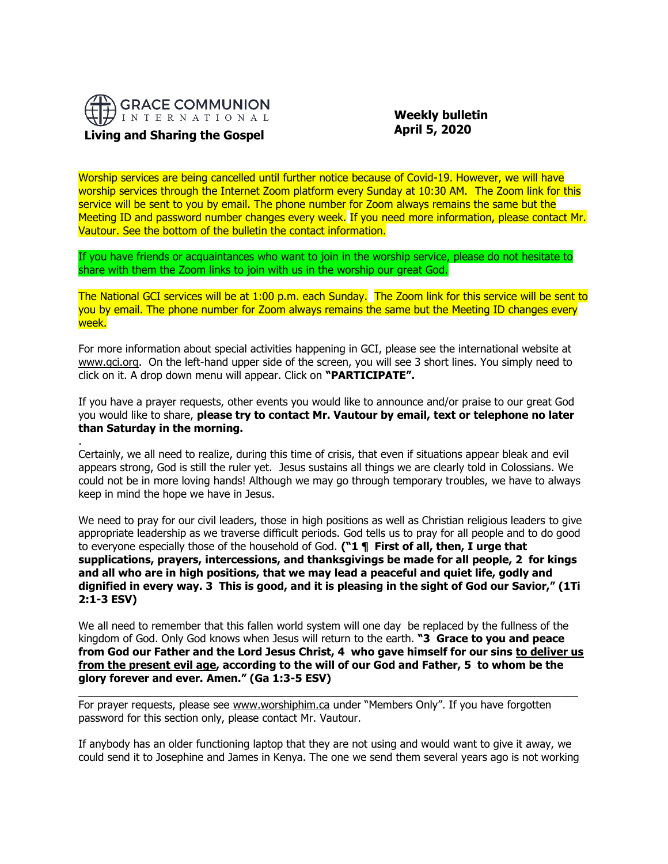

.

 **Weekly bulletin April 5, 2020**

Worship services are being cancelled until further notice because of Covid-19. However, we will have worship services through the Internet Zoom platform every Sunday at 10:30 AM. The Zoom link for this service will be sent to you by email. The phone number for Zoom always remains the same but the Meeting ID and password number changes every week. If you need more information, please contact Mr. Vautour. See the bottom of the bulletin the contact information.

If you have friends or acquaintances who want to join in the worship service, please do not hesitate to share with them the Zoom links to join with us in the worship our great God.

The National GCI services will be at 1:00 p.m. each Sunday. The Zoom link for this service will be sent to you by email. The phone number for Zoom always remains the same but the Meeting ID changes every week.

For more information about special activities happening in GCI, please see the international website at [www.gci.org.](http://www.gci.org/) On the left-hand upper side of the screen, you will see 3 short lines. You simply need to click on it. A drop down menu will appear. Click on **"PARTICIPATE".**

If you have a prayer requests, other events you would like to announce and/or praise to our great God you would like to share, **please try to contact Mr. Vautour by email, text or telephone no later than Saturday in the morning.**

Certainly, we all need to realize, during this time of crisis, that even if situations appear bleak and evil appears strong, God is still the ruler yet. Jesus sustains all things we are clearly told in Colossians. We could not be in more loving hands! Although we may go through temporary troubles, we have to always keep in mind the hope we have in Jesus.

We need to pray for our civil leaders, those in high positions as well as Christian religious leaders to give appropriate leadership as we traverse difficult periods. God tells us to pray for all people and to do good to everyone especially those of the household of God. **("1 ¶ First of all, then, I urge that supplications, prayers, intercessions, and thanksgivings be made for all people, 2 for kings and all who are in high positions, that we may lead a peaceful and quiet life, godly and dignified in every way. 3 This is good, and it is pleasing in the sight of God our Savior," (1Ti 2:1-3 ESV)**

We all need to remember that this fallen world system will one day be replaced by the fullness of the kingdom of God. Only God knows when Jesus will return to the earth. **"3 Grace to you and peace**  from God our Father and the Lord Jesus Christ, 4 who gave himself for our sins to deliver us **from the present evil age, according to the will of our God and Father, 5 to whom be the glory forever and ever. Amen." (Ga 1:3-5 ESV)**

 $\_$  ,  $\_$  ,  $\_$  ,  $\_$  ,  $\_$  ,  $\_$  ,  $\_$  ,  $\_$  ,  $\_$  ,  $\_$  ,  $\_$  ,  $\_$  ,  $\_$  ,  $\_$  ,  $\_$  ,  $\_$  ,  $\_$  ,  $\_$  ,  $\_$  ,  $\_$  ,  $\_$  ,  $\_$  ,  $\_$  ,  $\_$  ,  $\_$  ,  $\_$  ,  $\_$  ,  $\_$  ,  $\_$  ,  $\_$  ,  $\_$  ,  $\_$  ,  $\_$  ,  $\_$  ,  $\_$  ,  $\_$  ,  $\_$  ,

For prayer requests, please see [www.worshiphim.ca](http://www.worshiphim.ca/) under "Members Only". If you have forgotten password for this section only, please contact Mr. Vautour.

If anybody has an older functioning laptop that they are not using and would want to give it away, we could send it to Josephine and James in Kenya. The one we send them several years ago is not working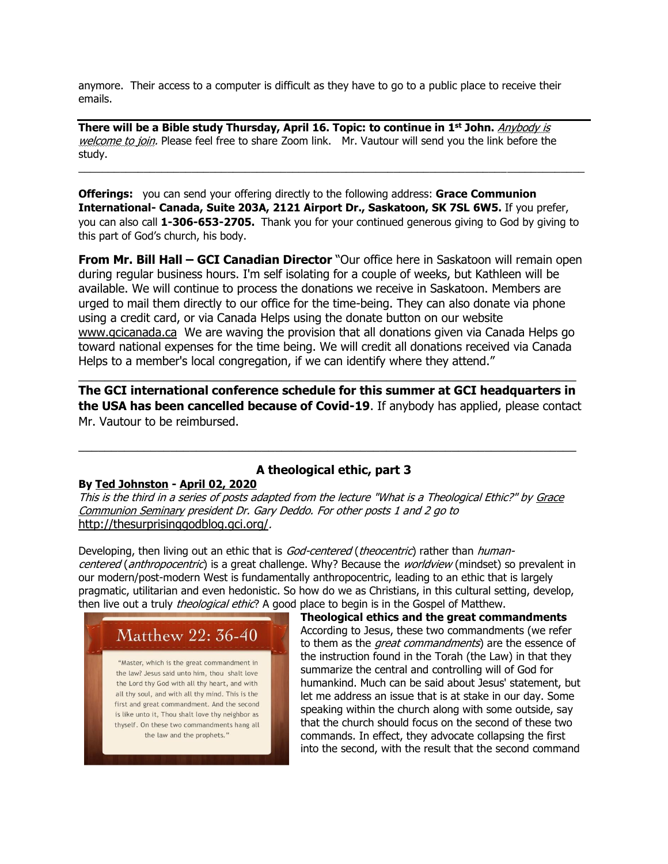anymore. Their access to a computer is difficult as they have to go to a public place to receive their emails.

**There will be a Bible study Thursday, April 16. Topic: to continue in 1 st John.** Anybody is welcome to join. Please feel free to share Zoom link. Mr. Vautour will send you the link before the study.  $\_$  ,  $\_$  ,  $\_$  ,  $\_$  ,  $\_$  ,  $\_$  ,  $\_$  ,  $\_$  ,  $\_$  ,  $\_$  ,  $\_$  ,  $\_$  ,  $\_$  ,  $\_$  ,  $\_$  ,  $\_$  ,  $\_$  ,  $\_$  ,  $\_$  ,  $\_$  ,  $\_$  ,  $\_$  ,  $\_$  ,  $\_$  ,  $\_$  ,  $\_$  ,  $\_$  ,  $\_$  ,  $\_$  ,  $\_$  ,  $\_$  ,  $\_$  ,  $\_$  ,  $\_$  ,  $\_$  ,  $\_$  ,  $\_$  ,

**Offerings:** you can send your offering directly to the following address: **Grace Communion International- Canada, Suite 203A, 2121 Airport Dr., Saskatoon, SK 7SL 6W5.** If you prefer, you can also call **1-306-653-2705.** Thank you for your continued generous giving to God by giving to this part of God's church, his body.

**From Mr. Bill Hall – GCI Canadian Director** "Our office here in Saskatoon will remain open during regular business hours. I'm self isolating for a couple of weeks, but Kathleen will be available. We will continue to process the donations we receive in Saskatoon. Members are urged to mail them directly to our office for the time-being. They can also donate via phone using a credit card, or via Canada Helps using the donate button on our website [www.gcicanada.ca](https://eur03.safelinks.protection.outlook.com/?url=http%3A%2F%2Fwww.gcicanada.ca%2F&data=02%7C01%7C%7C9fd93e29c2b44509e5a008d7caa78fdb%7C84df9e7fe9f640afb435aaaaaaaaaaaa%7C1%7C0%7C637200693331983394&sdata=VAGy4Q%2BxbhHuYaeEiDz%2FQyicT%2FoiY4Ir9kc8w5yHRPs%3D&reserved=0) We are waving the provision that all donations given via Canada Helps go toward national expenses for the time being. We will credit all donations received via Canada Helps to a member's local congregation, if we can identify where they attend."

**The GCI international conference schedule for this summer at GCI headquarters in the USA has been cancelled because of Covid-19**. If anybody has applied, please contact Mr. Vautour to be reimbursed.

\_\_\_\_\_\_\_\_\_\_\_\_\_\_\_\_\_\_\_\_\_\_\_\_\_\_\_\_\_\_\_\_\_\_\_\_\_\_\_\_\_\_\_\_\_\_\_\_\_\_\_\_\_\_\_\_\_\_\_\_\_\_\_\_\_\_\_\_\_\_\_\_\_\_\_\_

# **By [Ted Johnston](https://www.blogger.com/profile/08677739021765621811) - [April 02, 2020](http://thesurprisinggodblog.gci.org/2020/04/theological-ethic-3.html)**

## **A theological ethic, part 3**

\_\_\_\_\_\_\_\_\_\_\_\_\_\_\_\_\_\_\_\_\_\_\_\_\_\_\_\_\_\_\_\_\_\_\_\_\_\_\_\_\_\_\_\_\_\_\_\_\_\_\_\_\_\_\_\_\_\_\_\_\_\_\_\_\_\_\_\_\_\_\_\_\_\_\_\_

This is the third in a series of posts adapted from the lecture "What is a Theological Ethic?" by Grace [Communion Seminary](https://www.gcs.edu/) president Dr. Gary Deddo. For other posts 1 and 2 go to <http://thesurprisinggodblog.gci.org/>.

Developing, then living out an ethic that is God-centered (theocentric) rather than humancentered (anthropocentric) is a great challenge. Why? Because the worldview (mindset) so prevalent in our modern/post-modern West is fundamentally anthropocentric, leading to an ethic that is largely pragmatic, utilitarian and even hedonistic. So how do we as Christians, in this cultural setting, develop, then live out a truly *theolo[g](https://1.bp.blogspot.com/-DA6ok07sQZw/XnSydWYN3RI/AAAAAAAAEj4/3Y2XALJuBV0ZIMC0okWXY-fRgomDaOT4QCEwYBhgL/s1600/the-2nd-great-commandment-3-638.jpg)ical ethic*? A good place to begin is in the Gospel of Matthew.



**Theological ethics and the great commandments** According to Jesus, these two commandments (we refer to them as the *great commandments*) are the essence of the instruction found in the Torah (the Law) in that they summarize the central and controlling will of God for humankind. Much can be said about Jesus' statement, but let me address an issue that is at stake in our day. Some speaking within the church along with some outside, say that the church should focus on the second of these two commands. In effect, they advocate collapsing the first into the second, with the result that the second command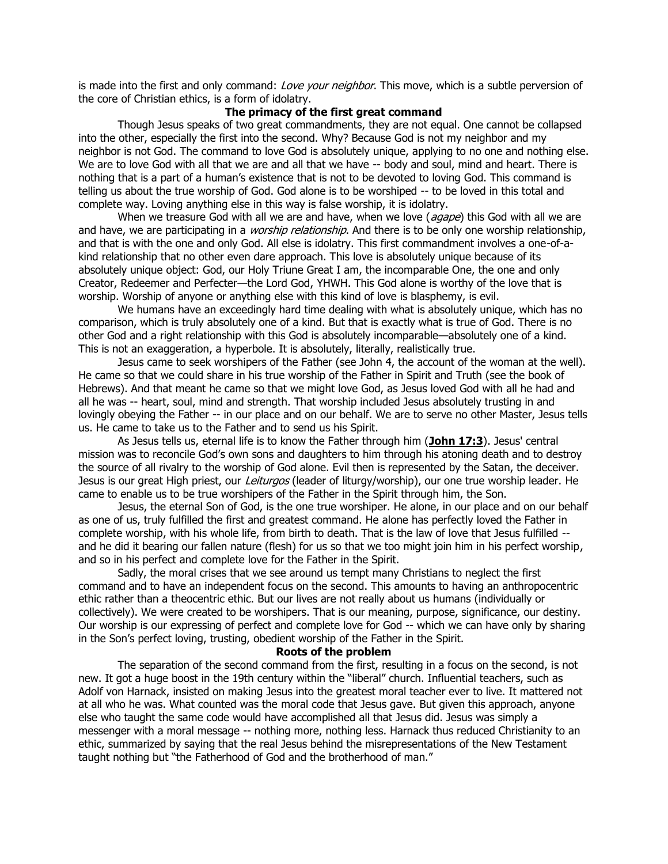is made into the first and only command: Love your neighbor. This move, which is a subtle perversion of the core of Christian ethics, is a form of idolatry.

## **The primacy of the first great command**

Though Jesus speaks of two great commandments, they are not equal. One cannot be collapsed into the other, especially the first into the second. Why? Because God is not my neighbor and my neighbor is not God. The command to love God is absolutely unique, applying to no one and nothing else. We are to love God with all that we are and all that we have -- body and soul, mind and heart. There is nothing that is a part of a human's existence that is not to be devoted to loving God. This command is telling us about the true worship of God. God alone is to be worshiped -- to be loved in this total and complete way. Loving anything else in this way is false worship, it is idolatry.

When we treasure God with all we are and have, when we love ( $aqape$ ) this God with all we are and have, we are participating in a *worship relationship*. And there is to be only one worship relationship, and that is with the one and only God. All else is idolatry. This first commandment involves a one-of-akind relationship that no other even dare approach. This love is absolutely unique because of its absolutely unique object: God, our Holy Triune Great I am, the incomparable One, the one and only Creator, Redeemer and Perfecter—the Lord God, YHWH. This God alone is worthy of the love that is worship. Worship of anyone or anything else with this kind of love is blasphemy, is evil.

We humans have an exceedingly hard time dealing with what is absolutely unique, which has no comparison, which is truly absolutely one of a kind. But that is exactly what is true of God. There is no other God and a right relationship with this God is absolutely incomparable—absolutely one of a kind. This is not an exaggeration, a hyperbole. It is absolutely, literally, realistically true.

Jesus came to seek worshipers of the Father (see John 4, the account of the woman at the well). He came so that we could share in his true worship of the Father in Spirit and Truth (see the book of Hebrews). And that meant he came so that we might love God, as Jesus loved God with all he had and all he was -- heart, soul, mind and strength. That worship included Jesus absolutely trusting in and lovingly obeying the Father -- in our place and on our behalf. We are to serve no other Master, Jesus tells us. He came to take us to the Father and to send us his Spirit.

As Jesus tells us, eternal life is to know the Father through him (**[John 17:3](https://biblia.com/bible/niv/John%2017.3)**). Jesus' central mission was to reconcile God's own sons and daughters to him through his atoning death and to destroy the source of all rivalry to the worship of God alone. Evil then is represented by the Satan, the deceiver. Jesus is our great High priest, our *Leiturgos* (leader of liturgy/worship), our one true worship leader. He came to enable us to be true worshipers of the Father in the Spirit through him, the Son.

Jesus, the eternal Son of God, is the one true worshiper. He alone, in our place and on our behalf as one of us, truly fulfilled the first and greatest command. He alone has perfectly loved the Father in complete worship, with his whole life, from birth to death. That is the law of love that Jesus fulfilled - and he did it bearing our fallen nature (flesh) for us so that we too might join him in his perfect worship, and so in his perfect and complete love for the Father in the Spirit.

Sadly, the moral crises that we see around us tempt many Christians to neglect the first command and to have an independent focus on the second. This amounts to having an anthropocentric ethic rather than a theocentric ethic. But our lives are not really about us humans (individually or collectively). We were created to be worshipers. That is our meaning, purpose, significance, our destiny. Our worship is our expressing of perfect and complete love for God -- which we can have only by sharing in the Son's perfect loving, trusting, obedient worship of the Father in the Spirit.

### **Roots of the problem**

The separation of the second command from the first, resulting in a focus on the second, is not new. It got a huge boost in the 19th century within the "liberal" church. Influential teachers, such as Adolf von Harnack, insisted on making Jesus into the greatest moral teacher ever to live. It mattered not at all who he was. What counted was the moral code that Jesus gave. But given this approach, anyone else who taught the same code would have accomplished all that Jesus did. Jesus was simply a messenger with a moral message -- nothing more, nothing less. Harnack thus reduced Christianity to an ethic, summarized by saying that the real Jesus behind the misrepresentations of the New Testament taught nothing but "the Fatherhood of God and the brotherhood of man."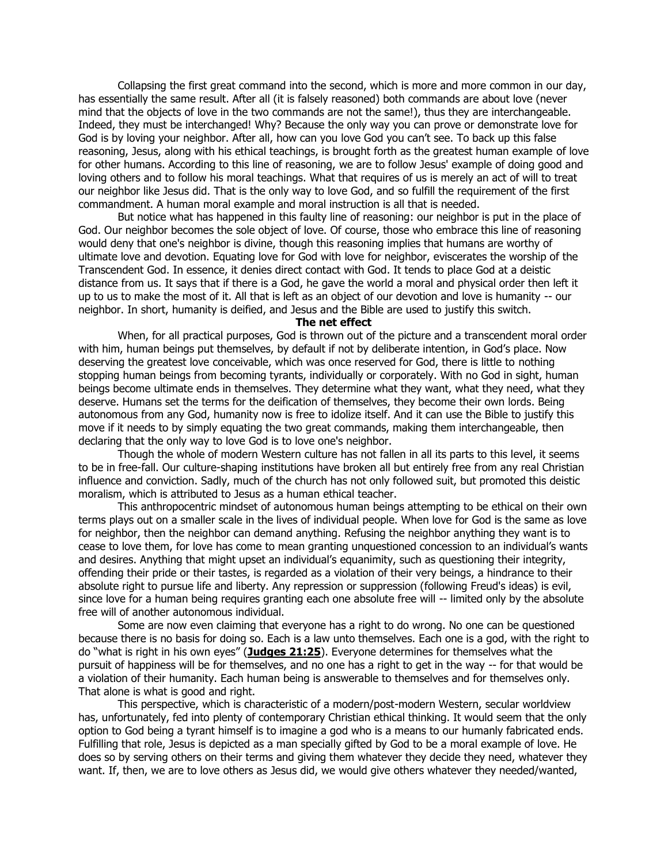Collapsing the first great command into the second, which is more and more common in our day, has essentially the same result. After all (it is falsely reasoned) both commands are about love (never mind that the objects of love in the two commands are not the same!), thus they are interchangeable. Indeed, they must be interchanged! Why? Because the only way you can prove or demonstrate love for God is by loving your neighbor. After all, how can you love God you can't see. To back up this false reasoning, Jesus, along with his ethical teachings, is brought forth as the greatest human example of love for other humans. According to this line of reasoning, we are to follow Jesus' example of doing good and loving others and to follow his moral teachings. What that requires of us is merely an act of will to treat our neighbor like Jesus did. That is the only way to love God, and so fulfill the requirement of the first commandment. A human moral example and moral instruction is all that is needed.

But notice what has happened in this faulty line of reasoning: our neighbor is put in the place of God. Our neighbor becomes the sole object of love. Of course, those who embrace this line of reasoning would deny that one's neighbor is divine, though this reasoning implies that humans are worthy of ultimate love and devotion. Equating love for God with love for neighbor, eviscerates the worship of the Transcendent God. In essence, it denies direct contact with God. It tends to place God at a deistic distance from us. It says that if there is a God, he gave the world a moral and physical order then left it up to us to make the most of it. All that is left as an object of our devotion and love is humanity -- our neighbor. In short, humanity is deified, and Jesus and the Bible are used to justify this switch.

#### **The net effect**

When, for all practical purposes, God is thrown out of the picture and a transcendent moral order with him, human beings put themselves, by default if not by deliberate intention, in God's place. Now deserving the greatest love conceivable, which was once reserved for God, there is little to nothing stopping human beings from becoming tyrants, individually or corporately. With no God in sight, human beings become ultimate ends in themselves. They determine what they want, what they need, what they deserve. Humans set the terms for the deification of themselves, they become their own lords. Being autonomous from any God, humanity now is free to idolize itself. And it can use the Bible to justify this move if it needs to by simply equating the two great commands, making them interchangeable, then declaring that the only way to love God is to love one's neighbor.

Though the whole of modern Western culture has not fallen in all its parts to this level, it seems to be in free-fall. Our culture-shaping institutions have broken all but entirely free from any real Christian influence and conviction. Sadly, much of the church has not only followed suit, but promoted this deistic moralism, which is attributed to Jesus as a human ethical teacher.

This anthropocentric mindset of autonomous human beings attempting to be ethical on their own terms plays out on a smaller scale in the lives of individual people. When love for God is the same as love for neighbor, then the neighbor can demand anything. Refusing the neighbor anything they want is to cease to love them, for love has come to mean granting unquestioned concession to an individual's wants and desires. Anything that might upset an individual's equanimity, such as questioning their integrity, offending their pride or their tastes, is regarded as a violation of their very beings, a hindrance to their absolute right to pursue life and liberty. Any repression or suppression (following Freud's ideas) is evil, since love for a human being requires granting each one absolute free will -- limited only by the absolute free will of another autonomous individual.

Some are now even claiming that everyone has a right to do wrong. No one can be questioned because there is no basis for doing so. Each is a law unto themselves. Each one is a god, with the right to do "what is right in his own eyes" (**[Judges 21:25](https://biblia.com/bible/niv/Judg%2021.25)**). Everyone determines for themselves what the pursuit of happiness will be for themselves, and no one has a right to get in the way -- for that would be a violation of their humanity. Each human being is answerable to themselves and for themselves only. That alone is what is good and right.

This perspective, which is characteristic of a modern/post-modern Western, secular worldview has, unfortunately, fed into plenty of contemporary Christian ethical thinking. It would seem that the only option to God being a tyrant himself is to imagine a god who is a means to our humanly fabricated ends. Fulfilling that role, Jesus is depicted as a man specially gifted by God to be a moral example of love. He does so by serving others on their terms and giving them whatever they decide they need, whatever they want. If, then, we are to love others as Jesus did, we would give others whatever they needed/wanted,